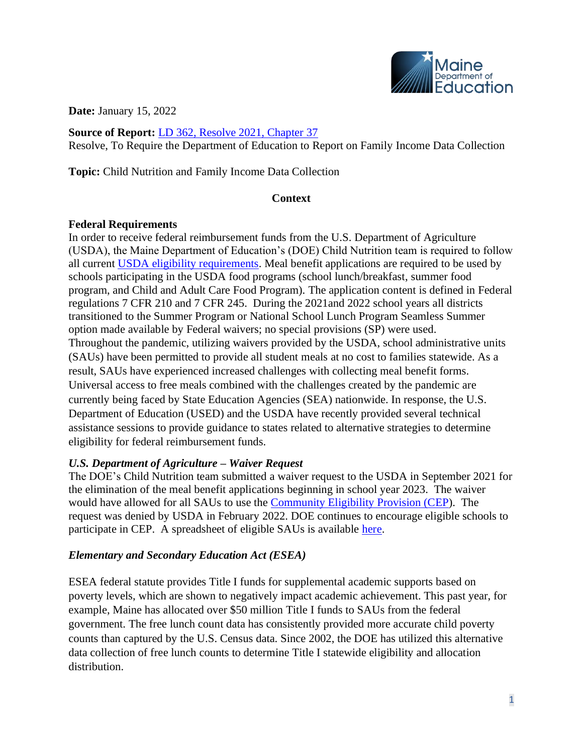

**Date:** January 15, 2022

**Source of Report:** [LD 362, Resolve 2021, Chapter 37](http://www.mainelegislature.org/legis/bills/getPDF.asp?paper=HP0260&item=3&snum=130) Resolve, To Require the Department of Education to Report on Family Income Data Collection

**Topic:** Child Nutrition and Family Income Data Collection

### **Context**

### **Federal Requirements**

In order to receive federal reimbursement funds from the U.S. Department of Agriculture (USDA), the Maine Department of Education's (DOE) Child Nutrition team is required to follow all current [USDA eligibility requirements.](https://fns-prod.azureedge.net/sites/default/files/resource-files/NSLPFactSheet.pdf) Meal benefit applications are required to be used by schools participating in the USDA food programs (school lunch/breakfast, summer food program, and Child and Adult Care Food Program). The application content is defined in Federal regulations 7 CFR 210 and 7 CFR 245. During the 2021and 2022 school years all districts transitioned to the Summer Program or National School Lunch Program Seamless Summer option made available by Federal waivers; no special provisions (SP) were used. Throughout the pandemic, utilizing waivers provided by the USDA, school administrative units (SAUs) have been permitted to provide all student meals at no cost to families statewide. As a result, SAUs have experienced increased challenges with collecting meal benefit forms. Universal access to free meals combined with the challenges created by the pandemic are currently being faced by State Education Agencies (SEA) nationwide. In response, the U.S. Department of Education (USED) and the USDA have recently provided several technical assistance sessions to provide guidance to states related to alternative strategies to determine eligibility for federal reimbursement funds.

# *U.S. Department of Agriculture – Waiver Request*

The DOE's Child Nutrition team submitted a waiver request to the USDA in September 2021 for the elimination of the meal benefit applications beginning in school year 2023. The waiver would have allowed for all SAUs to use the [Community Eligibility](https://www.fns.usda.gov/cn/community-eligibility-provision) Provision (CEP). The request was denied by USDA in February 2022. DOE continues to encourage eligible schools to participate in CEP. A spreadsheet of eligible SAUs is available [here.](https://www.maine.gov/doe/sites/maine.gov.doe/files/inline-files/SY%202020%20Special%20Provision%20Districts_1.pdf)

# *Elementary and Secondary Education Act (ESEA)*

ESEA federal statute provides Title I funds for supplemental academic supports based on poverty levels, which are shown to negatively impact academic achievement. This past year, for example, Maine has allocated over \$50 million Title I funds to SAUs from the federal government. The free lunch count data has consistently provided more accurate child poverty counts than captured by the U.S. Census data. Since 2002, the DOE has utilized this alternative data collection of free lunch counts to determine Title I statewide eligibility and allocation distribution.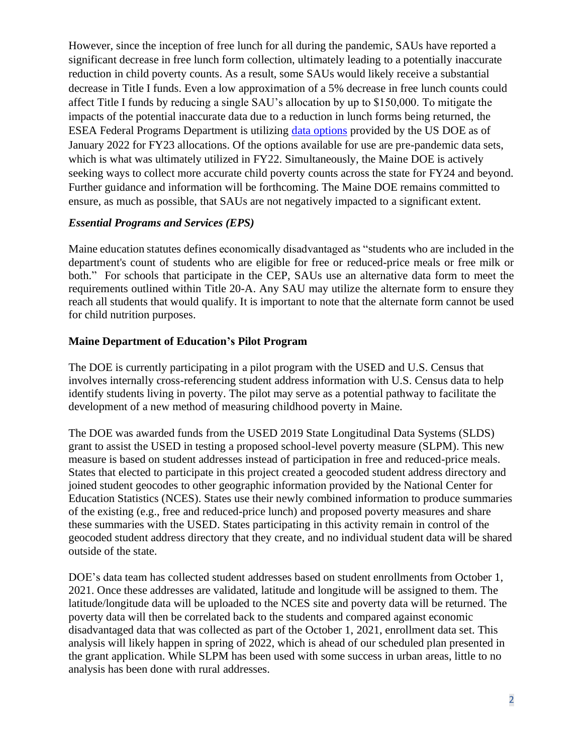However, since the inception of free lunch for all during the pandemic, SAUs have reported a significant decrease in free lunch form collection, ultimately leading to a potentially inaccurate reduction in child poverty counts. As a result, some SAUs would likely receive a substantial decrease in Title I funds. Even a low approximation of a 5% decrease in free lunch counts could affect Title I funds by reducing a single SAU's allocation by up to \$150,000. To mitigate the impacts of the potential inaccurate data due to a reduction in lunch forms being returned, the ESEA Federal Programs Department is utilizing [data options](https://oese.ed.gov/files/2022/01/ED-USDA-Fact-Sheet-Revised-1-12-2022.pdf) provided by the US DOE as of January 2022 for FY23 allocations. Of the options available for use are pre-pandemic data sets, which is what was ultimately utilized in FY22. Simultaneously, the Maine DOE is actively seeking ways to collect more accurate child poverty counts across the state for FY24 and beyond. Further guidance and information will be forthcoming. The Maine DOE remains committed to ensure, as much as possible, that SAUs are not negatively impacted to a significant extent.

### *Essential Programs and Services (EPS)*

Maine education statutes defines economically disadvantaged as "students who are included in the department's count of students who are eligible for free or reduced-price meals or free milk or both." For schools that participate in the CEP, SAUs use an alternative data form to meet the requirements outlined within Title 20-A. Any SAU may utilize the alternate form to ensure they reach all students that would qualify. It is important to note that the alternate form cannot be used for child nutrition purposes.

### **Maine Department of Education's Pilot Program**

The DOE is currently participating in a pilot program with the USED and U.S. Census that involves internally cross-referencing student address information with U.S. Census data to help identify students living in poverty. The pilot may serve as a potential pathway to facilitate the development of a new method of measuring childhood poverty in Maine.

The DOE was awarded funds from the USED 2019 State Longitudinal Data Systems (SLDS) grant to assist the USED in testing a proposed school-level poverty measure (SLPM). This new measure is based on student addresses instead of participation in free and reduced-price meals. States that elected to participate in this project created a geocoded student address directory and joined student geocodes to other geographic information provided by the National Center for Education Statistics (NCES). States use their newly combined information to produce summaries of the existing (e.g., free and reduced-price lunch) and proposed poverty measures and share these summaries with the USED. States participating in this activity remain in control of the geocoded student address directory that they create, and no individual student data will be shared outside of the state.

DOE's data team has collected student addresses based on student enrollments from October 1, 2021. Once these addresses are validated, latitude and longitude will be assigned to them. The latitude/longitude data will be uploaded to the NCES site and poverty data will be returned. The poverty data will then be correlated back to the students and compared against economic disadvantaged data that was collected as part of the October 1, 2021, enrollment data set. This analysis will likely happen in spring of 2022, which is ahead of our scheduled plan presented in the grant application. While SLPM has been used with some success in urban areas, little to no analysis has been done with rural addresses.